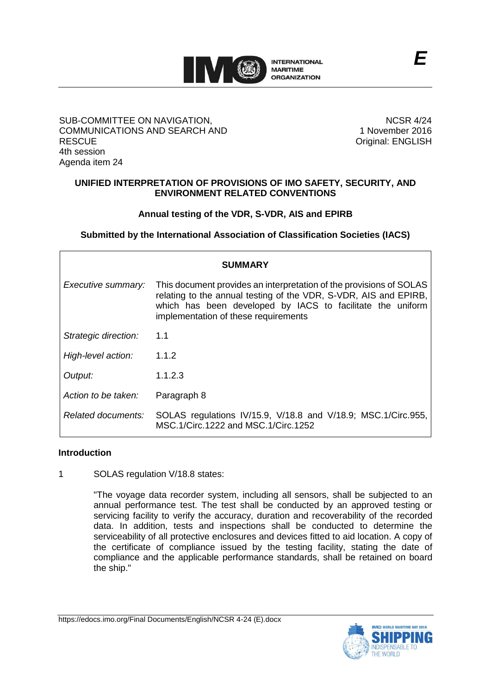

# SUB-COMMITTEE ON NAVIGATION, COMMUNICATIONS AND SEARCH AND **RESCUE** 4th session Agenda item 24

NCSR 4/24 1 November 2016 Original: ENGLISH

# **UNIFIED INTERPRETATION OF PROVISIONS OF IMO SAFETY, SECURITY, AND ENVIRONMENT RELATED CONVENTIONS**

# **Annual testing of the VDR, S-VDR, AIS and EPIRB**

**Submitted by the International Association of Classification Societies (IACS)**

| <b>SUMMARY</b>       |                                                                                                                                                                                                                                               |
|----------------------|-----------------------------------------------------------------------------------------------------------------------------------------------------------------------------------------------------------------------------------------------|
| Executive summary:   | This document provides an interpretation of the provisions of SOLAS<br>relating to the annual testing of the VDR, S-VDR, AIS and EPIRB,<br>which has been developed by IACS to facilitate the uniform<br>implementation of these requirements |
| Strategic direction: | 1.1                                                                                                                                                                                                                                           |
| High-level action:   | 1.1.2                                                                                                                                                                                                                                         |
| Output:              | 1.1.2.3                                                                                                                                                                                                                                       |
| Action to be taken:  | Paragraph 8                                                                                                                                                                                                                                   |
| Related documents:   | SOLAS regulations IV/15.9, V/18.8 and V/18.9; MSC.1/Circ.955,<br>MSC.1/Circ.1222 and MSC.1/Circ.1252                                                                                                                                          |

### **Introduction**

1 SOLAS regulation V/18.8 states:

"The voyage data recorder system, including all sensors, shall be subjected to an annual performance test. The test shall be conducted by an approved testing or servicing facility to verify the accuracy, duration and recoverability of the recorded data. In addition, tests and inspections shall be conducted to determine the serviceability of all protective enclosures and devices fitted to aid location. A copy of the certificate of compliance issued by the testing facility, stating the date of compliance and the applicable performance standards, shall be retained on board the ship."

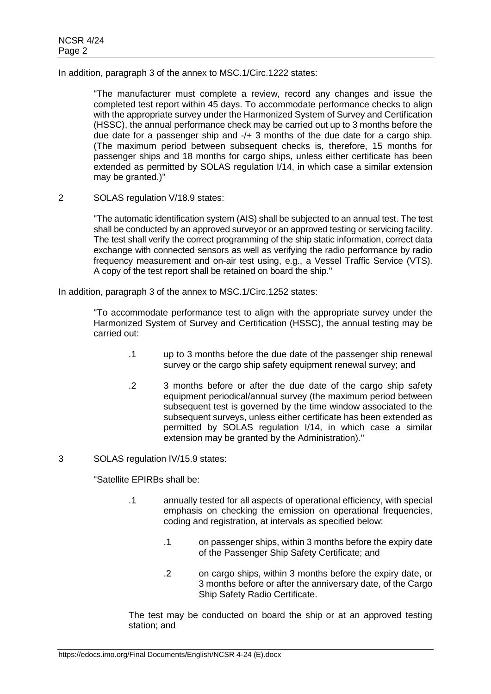In addition, paragraph 3 of the annex to MSC.1/Circ.1222 states:

"The manufacturer must complete a review, record any changes and issue the completed test report within 45 days. To accommodate performance checks to align with the appropriate survey under the Harmonized System of Survey and Certification (HSSC), the annual performance check may be carried out up to 3 months before the due date for a passenger ship and -/+ 3 months of the due date for a cargo ship. (The maximum period between subsequent checks is, therefore, 15 months for passenger ships and 18 months for cargo ships, unless either certificate has been extended as permitted by SOLAS regulation I/14, in which case a similar extension may be granted.)"

2 SOLAS regulation V/18.9 states:

"The automatic identification system (AIS) shall be subjected to an annual test. The test shall be conducted by an approved surveyor or an approved testing or servicing facility. The test shall verify the correct programming of the ship static information, correct data exchange with connected sensors as well as verifying the radio performance by radio frequency measurement and on-air test using, e.g., a Vessel Traffic Service (VTS). A copy of the test report shall be retained on board the ship."

In addition, paragraph 3 of the annex to MSC.1/Circ.1252 states:

"To accommodate performance test to align with the appropriate survey under the Harmonized System of Survey and Certification (HSSC), the annual testing may be carried out:

- .1 up to 3 months before the due date of the passenger ship renewal survey or the cargo ship safety equipment renewal survey; and
- .2 3 months before or after the due date of the cargo ship safety equipment periodical/annual survey (the maximum period between subsequent test is governed by the time window associated to the subsequent surveys, unless either certificate has been extended as permitted by SOLAS regulation I/14, in which case a similar extension may be granted by the Administration)."
- 3 SOLAS regulation IV/15.9 states:

"Satellite EPIRBs shall be:

- .1 annually tested for all aspects of operational efficiency, with special emphasis on checking the emission on operational frequencies, coding and registration, at intervals as specified below:
	- .1 on passenger ships, within 3 months before the expiry date of the Passenger Ship Safety Certificate; and
	- .2 on cargo ships, within 3 months before the expiry date, or 3 months before or after the anniversary date, of the Cargo Ship Safety Radio Certificate.

The test may be conducted on board the ship or at an approved testing station; and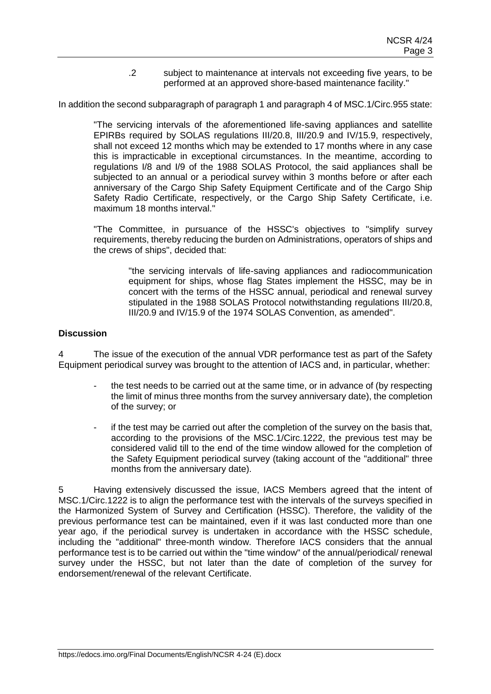.2 subject to maintenance at intervals not exceeding five years, to be performed at an approved shore-based maintenance facility."

In addition the second subparagraph of paragraph 1 and paragraph 4 of MSC.1/Circ.955 state:

"The servicing intervals of the aforementioned life-saving appliances and satellite EPIRBs required by SOLAS regulations III/20.8, III/20.9 and IV/15.9, respectively, shall not exceed 12 months which may be extended to 17 months where in any case this is impracticable in exceptional circumstances. In the meantime, according to regulations I/8 and I/9 of the 1988 SOLAS Protocol, the said appliances shall be subjected to an annual or a periodical survey within 3 months before or after each anniversary of the Cargo Ship Safety Equipment Certificate and of the Cargo Ship Safety Radio Certificate, respectively, or the Cargo Ship Safety Certificate, i.e. maximum 18 months interval."

"The Committee, in pursuance of the HSSC's objectives to "simplify survey requirements, thereby reducing the burden on Administrations, operators of ships and the crews of ships", decided that:

> "the servicing intervals of life-saving appliances and radiocommunication equipment for ships, whose flag States implement the HSSC, may be in concert with the terms of the HSSC annual, periodical and renewal survey stipulated in the 1988 SOLAS Protocol notwithstanding regulations III/20.8, III/20.9 and IV/15.9 of the 1974 SOLAS Convention, as amended".

# **Discussion**

4 The issue of the execution of the annual VDR performance test as part of the Safety Equipment periodical survey was brought to the attention of IACS and, in particular, whether:

- the test needs to be carried out at the same time, or in advance of (by respecting the limit of minus three months from the survey anniversary date), the completion of the survey; or
- if the test may be carried out after the completion of the survey on the basis that, according to the provisions of the MSC.1/Circ.1222, the previous test may be considered valid till to the end of the time window allowed for the completion of the Safety Equipment periodical survey (taking account of the "additional" three months from the anniversary date).

5 Having extensively discussed the issue, IACS Members agreed that the intent of MSC.1/Circ.1222 is to align the performance test with the intervals of the surveys specified in the Harmonized System of Survey and Certification (HSSC). Therefore, the validity of the previous performance test can be maintained, even if it was last conducted more than one year ago, if the periodical survey is undertaken in accordance with the HSSC schedule, including the "additional" three-month window. Therefore IACS considers that the annual performance test is to be carried out within the "time window" of the annual/periodical/ renewal survey under the HSSC, but not later than the date of completion of the survey for endorsement/renewal of the relevant Certificate.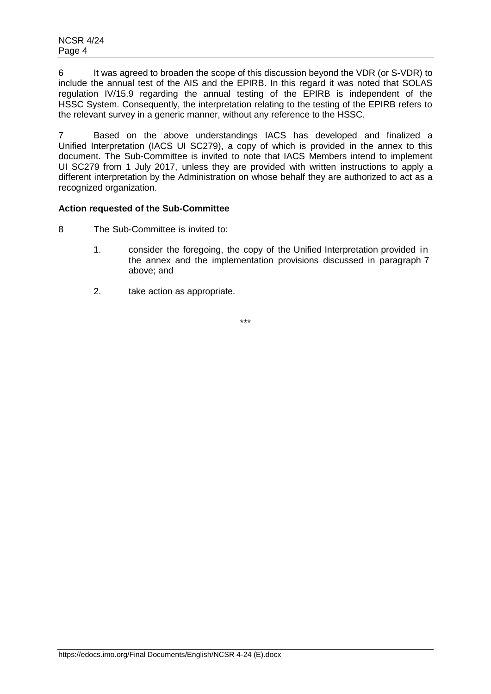6 It was agreed to broaden the scope of this discussion beyond the VDR (or S-VDR) to include the annual test of the AIS and the EPIRB. In this regard it was noted that SOLAS regulation IV/15.9 regarding the annual testing of the EPIRB is independent of the HSSC System. Consequently, the interpretation relating to the testing of the EPIRB refers to the relevant survey in a generic manner, without any reference to the HSSC.

7 Based on the above understandings IACS has developed and finalized a Unified Interpretation (IACS UI SC279), a copy of which is provided in the annex to this document. The Sub-Committee is invited to note that IACS Members intend to implement UI SC279 from 1 July 2017, unless they are provided with written instructions to apply a different interpretation by the Administration on whose behalf they are authorized to act as a recognized organization.

# **Action requested of the Sub-Committee**

- 8 The Sub-Committee is invited to:
	- 1. consider the foregoing, the copy of the Unified Interpretation provided in the annex and the implementation provisions discussed in paragraph 7 above; and
	- 2. take action as appropriate.

\*\*\*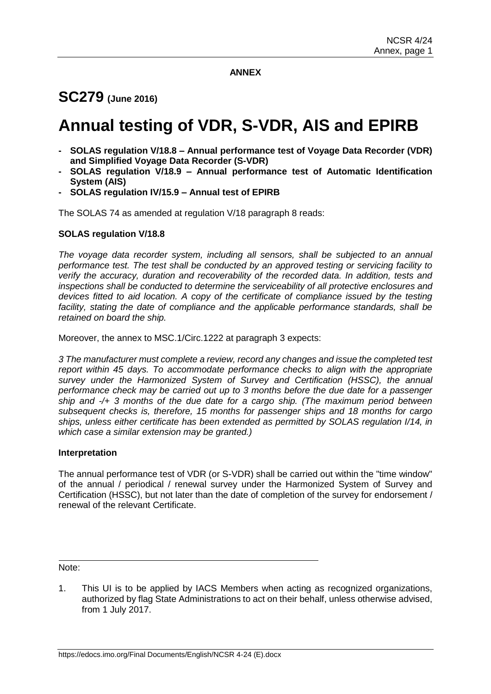# **ANNEX**

# **SC279 (June 2016)**

# **Annual testing of VDR, S-VDR, AIS and EPIRB**

- **- SOLAS regulation V/18.8 – Annual performance test of Voyage Data Recorder (VDR) and Simplified Voyage Data Recorder (S-VDR)**
- **- SOLAS regulation V/18.9 – Annual performance test of Automatic Identification System (AIS)**
- **- SOLAS regulation IV/15.9 – Annual test of EPIRB**

The SOLAS 74 as amended at regulation V/18 paragraph 8 reads:

# **SOLAS regulation V/18.8**

*The voyage data recorder system, including all sensors, shall be subjected to an annual performance test. The test shall be conducted by an approved testing or servicing facility to verify the accuracy, duration and recoverability of the recorded data. In addition, tests and inspections shall be conducted to determine the serviceability of all protective enclosures and devices fitted to aid location. A copy of the certificate of compliance issued by the testing*  facility, stating the date of compliance and the applicable performance standards, shall be *retained on board the ship.*

Moreover, the annex to MSC.1/Circ.1222 at paragraph 3 expects:

*3 The manufacturer must complete a review, record any changes and issue the completed test report within 45 days. To accommodate performance checks to align with the appropriate survey under the Harmonized System of Survey and Certification (HSSC), the annual performance check may be carried out up to 3 months before the due date for a passenger ship and -/+ 3 months of the due date for a cargo ship. (The maximum period between subsequent checks is, therefore, 15 months for passenger ships and 18 months for cargo ships, unless either certificate has been extended as permitted by SOLAS regulation I/14, in which case a similar extension may be granted.)*

# **Interpretation**

The annual performance test of VDR (or S-VDR) shall be carried out within the "time window" of the annual / periodical / renewal survey under the Harmonized System of Survey and Certification (HSSC), but not later than the date of completion of the survey for endorsement / renewal of the relevant Certificate.

Note:

1. This UI is to be applied by IACS Members when acting as recognized organizations, authorized by flag State Administrations to act on their behalf, unless otherwise advised, from 1 July 2017.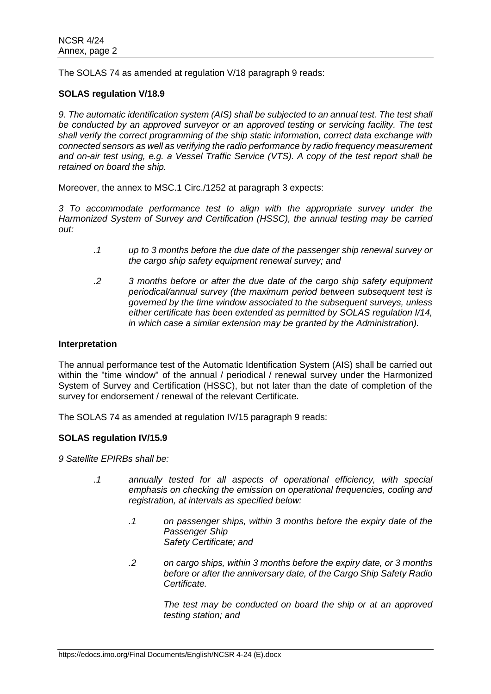The SOLAS 74 as amended at regulation V/18 paragraph 9 reads:

# **SOLAS regulation V/18.9**

*9. The automatic identification system (AIS) shall be subjected to an annual test. The test shall be conducted by an approved surveyor or an approved testing or servicing facility. The test shall verify the correct programming of the ship static information, correct data exchange with connected sensors as well as verifying the radio performance by radio frequency measurement and on-air test using, e.g. a Vessel Traffic Service (VTS). A copy of the test report shall be retained on board the ship.*

Moreover, the annex to MSC.1 Circ./1252 at paragraph 3 expects:

*3 To accommodate performance test to align with the appropriate survey under the Harmonized System of Survey and Certification (HSSC), the annual testing may be carried out:*

- *.1 up to 3 months before the due date of the passenger ship renewal survey or the cargo ship safety equipment renewal survey; and*
- *.2 3 months before or after the due date of the cargo ship safety equipment periodical/annual survey (the maximum period between subsequent test is governed by the time window associated to the subsequent surveys, unless either certificate has been extended as permitted by SOLAS regulation I/14, in which case a similar extension may be granted by the Administration).*

### **Interpretation**

The annual performance test of the Automatic Identification System (AIS) shall be carried out within the "time window" of the annual / periodical / renewal survey under the Harmonized System of Survey and Certification (HSSC), but not later than the date of completion of the survey for endorsement / renewal of the relevant Certificate.

The SOLAS 74 as amended at regulation IV/15 paragraph 9 reads:

### **SOLAS regulation IV/15.9**

*9 Satellite EPIRBs shall be:*

- *.1 annually tested for all aspects of operational efficiency, with special emphasis on checking the emission on operational frequencies, coding and registration, at intervals as specified below:*
	- *.1 on passenger ships, within 3 months before the expiry date of the Passenger Ship Safety Certificate; and*
	- *.2 on cargo ships, within 3 months before the expiry date, or 3 months before or after the anniversary date, of the Cargo Ship Safety Radio Certificate.*

*The test may be conducted on board the ship or at an approved testing station; and*